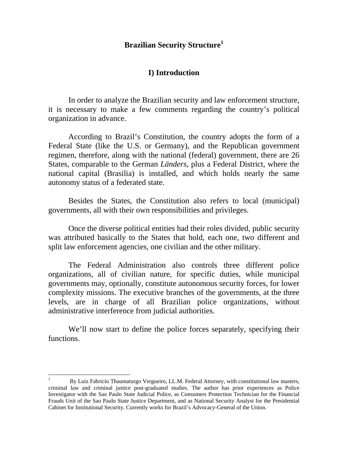# **Brazilian Security Structure<sup>1</sup>**

# **I) Introduction**

 In order to analyze the Brazilian security and law enforcement structure, it is necessary to make a few comments regarding the country's political organization in advance.

 According to Brazil's Constitution, the country adopts the form of a Federal State (like the U.S. or Germany), and the Republican government regimen, therefore, along with the national (federal) government, there are 26 States, comparable to the German *Länders*, plus a Federal District, where the national capital (Brasilia) is installed, and which holds nearly the same autonomy status of a federated state.

 Besides the States, the Constitution also refers to local (municipal) governments, all with their own responsibilities and privileges.

 Once the diverse political entities had their roles divided, public security was attributed basically to the States that hold, each one, two different and split law enforcement agencies, one civilian and the other military.

 The Federal Administration also controls three different police organizations, all of civilian nature, for specific duties, while municipal governments may, optionally, constitute autonomous security forces, for lower complexity missions. The executive branches of the governments, at the three levels, are in charge of all Brazilian police organizations, without administrative interference from judicial authorities.

 We'll now start to define the police forces separately, specifying their functions.

1

<sup>1</sup> By Luiz Fabricio Thaumaturgo Vergueiro, LL.M. Federal Attorney, with constitutional law masters, criminal law and criminal justice post-graduated studies. The author has prior experiences as Police Investigator with the Sao Paulo State Judicial Police, as Consumers Protection Technician for the Financial Frauds Unit of the Sao Paulo State Justice Department, and as National Security Analyst for the Presidential Cabinet for Institutional Security. Currently works for Brazil's Advocacy-General of the Union.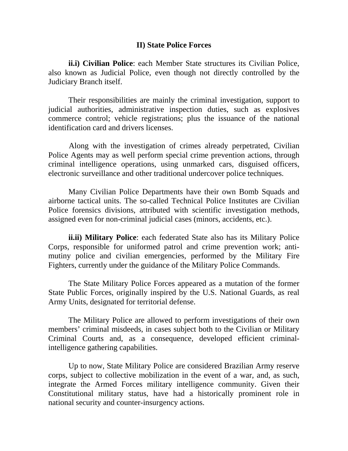## **II) State Police Forces**

**ii.i) Civilian Police**: each Member State structures its Civilian Police, also known as Judicial Police, even though not directly controlled by the Judiciary Branch itself.

 Their responsibilities are mainly the criminal investigation, support to judicial authorities, administrative inspection duties, such as explosives commerce control; vehicle registrations; plus the issuance of the national identification card and drivers licenses.

Along with the investigation of crimes already perpetrated, Civilian Police Agents may as well perform special crime prevention actions, through criminal intelligence operations, using unmarked cars, disguised officers, electronic surveillance and other traditional undercover police techniques.

 Many Civilian Police Departments have their own Bomb Squads and airborne tactical units. The so-called Technical Police Institutes are Civilian Police forensics divisions, attributed with scientific investigation methods, assigned even for non-criminal judicial cases (minors, accidents, etc.).

**ii.ii) Military Police**: each federated State also has its Military Police Corps, responsible for uniformed patrol and crime prevention work; antimutiny police and civilian emergencies, performed by the Military Fire Fighters, currently under the guidance of the Military Police Commands.

 The State Military Police Forces appeared as a mutation of the former State Public Forces, originally inspired by the U.S. National Guards, as real Army Units, designated for territorial defense.

 The Military Police are allowed to perform investigations of their own members' criminal misdeeds, in cases subject both to the Civilian or Military Criminal Courts and, as a consequence, developed efficient criminalintelligence gathering capabilities.

 Up to now, State Military Police are considered Brazilian Army reserve corps, subject to collective mobilization in the event of a war, and, as such, integrate the Armed Forces military intelligence community. Given their Constitutional military status, have had a historically prominent role in national security and counter-insurgency actions.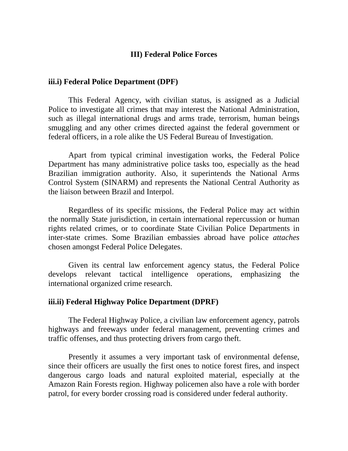# **III) Federal Police Forces**

#### **iii.i) Federal Police Department (DPF)**

 This Federal Agency, with civilian status, is assigned as a Judicial Police to investigate all crimes that may interest the National Administration, such as illegal international drugs and arms trade, terrorism, human beings smuggling and any other crimes directed against the federal government or federal officers, in a role alike the US Federal Bureau of Investigation.

 Apart from typical criminal investigation works, the Federal Police Department has many administrative police tasks too, especially as the head Brazilian immigration authority. Also, it superintends the National Arms Control System (SINARM) and represents the National Central Authority as the liaison between Brazil and Interpol.

Regardless of its specific missions, the Federal Police may act within the normally State jurisdiction, in certain international repercussion or human rights related crimes, or to coordinate State Civilian Police Departments in inter-state crimes. Some Brazilian embassies abroad have police *attaches* chosen amongst Federal Police Delegates.

Given its central law enforcement agency status, the Federal Police develops relevant tactical intelligence operations, emphasizing the international organized crime research.

# **iii.ii) Federal Highway Police Department (DPRF)**

The Federal Highway Police, a civilian law enforcement agency, patrols highways and freeways under federal management, preventing crimes and traffic offenses, and thus protecting drivers from cargo theft.

Presently it assumes a very important task of environmental defense, since their officers are usually the first ones to notice forest fires, and inspect dangerous cargo loads and natural exploited material, especially at the Amazon Rain Forests region. Highway policemen also have a role with border patrol, for every border crossing road is considered under federal authority.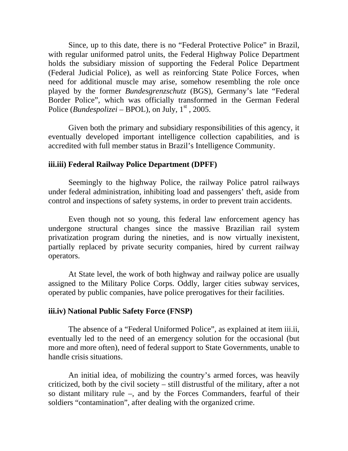Since, up to this date, there is no "Federal Protective Police" in Brazil, with regular uniformed patrol units, the Federal Highway Police Department holds the subsidiary mission of supporting the Federal Police Department (Federal Judicial Police), as well as reinforcing State Police Forces, when need for additional muscle may arise, somehow resembling the role once played by the former *Bundesgrenzschutz* (BGS), Germany's late "Federal Border Police", which was officially transformed in the German Federal Police (*Bundespolizei* – BPOL), on July,  $1<sup>st</sup>$ , 2005.

Given both the primary and subsidiary responsibilities of this agency, it eventually developed important intelligence collection capabilities, and is accredited with full member status in Brazil's Intelligence Community.

#### **iii.iii) Federal Railway Police Department (DPFF)**

Seemingly to the highway Police, the railway Police patrol railways under federal administration, inhibiting load and passengers' theft, aside from control and inspections of safety systems, in order to prevent train accidents.

Even though not so young, this federal law enforcement agency has undergone structural changes since the massive Brazilian rail system privatization program during the nineties, and is now virtually inexistent, partially replaced by private security companies, hired by current railway operators.

At State level, the work of both highway and railway police are usually assigned to the Military Police Corps. Oddly, larger cities subway services, operated by public companies, have police prerogatives for their facilities.

### **iii.iv) National Public Safety Force (FNSP)**

The absence of a "Federal Uniformed Police", as explained at item iii.ii, eventually led to the need of an emergency solution for the occasional (but more and more often), need of federal support to State Governments, unable to handle crisis situations.

An initial idea, of mobilizing the country's armed forces, was heavily criticized, both by the civil society – still distrustful of the military, after a not so distant military rule –, and by the Forces Commanders, fearful of their soldiers "contamination", after dealing with the organized crime.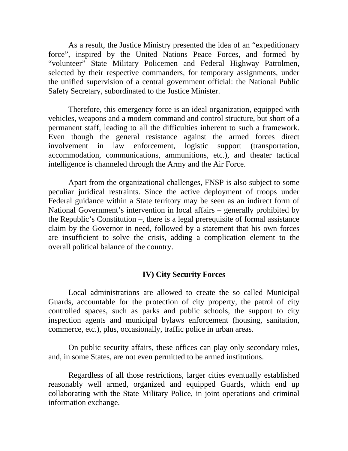As a result, the Justice Ministry presented the idea of an "expeditionary force", inspired by the United Nations Peace Forces, and formed by "volunteer" State Military Policemen and Federal Highway Patrolmen, selected by their respective commanders, for temporary assignments, under the unified supervision of a central government official: the National Public Safety Secretary, subordinated to the Justice Minister.

Therefore, this emergency force is an ideal organization, equipped with vehicles, weapons and a modern command and control structure, but short of a permanent staff, leading to all the difficulties inherent to such a framework. Even though the general resistance against the armed forces direct involvement in law enforcement, logistic support (transportation, accommodation, communications, ammunitions, etc.), and theater tactical intelligence is channeled through the Army and the Air Force.

Apart from the organizational challenges, FNSP is also subject to some peculiar juridical restraints. Since the active deployment of troops under Federal guidance within a State territory may be seen as an indirect form of National Government's intervention in local affairs – generally prohibited by the Republic's Constitution –, there is a legal prerequisite of formal assistance claim by the Governor in need, followed by a statement that his own forces are insufficient to solve the crisis, adding a complication element to the overall political balance of the country.

# **IV) City Security Forces**

Local administrations are allowed to create the so called Municipal Guards, accountable for the protection of city property, the patrol of city controlled spaces, such as parks and public schools, the support to city inspection agents and municipal bylaws enforcement (housing, sanitation, commerce, etc.), plus, occasionally, traffic police in urban areas.

On public security affairs, these offices can play only secondary roles, and, in some States, are not even permitted to be armed institutions.

Regardless of all those restrictions, larger cities eventually established reasonably well armed, organized and equipped Guards, which end up collaborating with the State Military Police, in joint operations and criminal information exchange.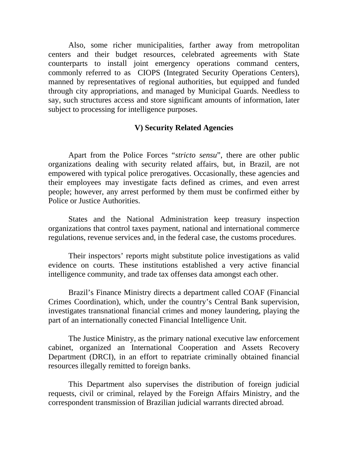Also, some richer municipalities, farther away from metropolitan centers and their budget resources, celebrated agreements with State counterparts to install joint emergency operations command centers, commonly referred to as CIOPS (Integrated Security Operations Centers), manned by representatives of regional authorities, but equipped and funded through city appropriations, and managed by Municipal Guards. Needless to say, such structures access and store significant amounts of information, later subject to processing for intelligence purposes.

# **V) Security Related Agencies**

Apart from the Police Forces "*stricto sensu*", there are other public organizations dealing with security related affairs, but, in Brazil, are not empowered with typical police prerogatives. Occasionally, these agencies and their employees may investigate facts defined as crimes, and even arrest people; however, any arrest performed by them must be confirmed either by Police or Justice Authorities.

States and the National Administration keep treasury inspection organizations that control taxes payment, national and international commerce regulations, revenue services and, in the federal case, the customs procedures.

Their inspectors' reports might substitute police investigations as valid evidence on courts. These institutions established a very active financial intelligence community, and trade tax offenses data amongst each other.

Brazil's Finance Ministry directs a department called COAF (Financial Crimes Coordination), which, under the country's Central Bank supervision, investigates transnational financial crimes and money laundering, playing the part of an internationally conected Financial Intelligence Unit.

The Justice Ministry, as the primary national executive law enforcement cabinet, organized an International Cooperation and Assets Recovery Department (DRCI), in an effort to repatriate criminally obtained financial resources illegally remitted to foreign banks.

This Department also supervises the distribution of foreign judicial requests, civil or criminal, relayed by the Foreign Affairs Ministry, and the correspondent transmission of Brazilian judicial warrants directed abroad.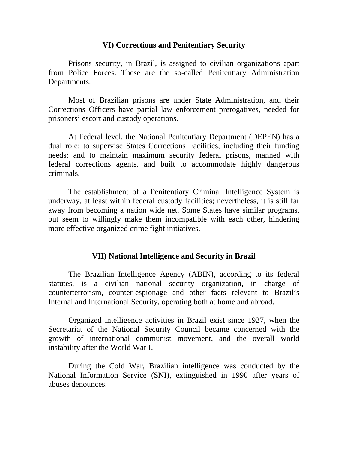#### **VI) Corrections and Penitentiary Security**

Prisons security, in Brazil, is assigned to civilian organizations apart from Police Forces. These are the so-called Penitentiary Administration Departments.

Most of Brazilian prisons are under State Administration, and their Corrections Officers have partial law enforcement prerogatives, needed for prisoners' escort and custody operations.

At Federal level, the National Penitentiary Department (DEPEN) has a dual role: to supervise States Corrections Facilities, including their funding needs; and to maintain maximum security federal prisons, manned with federal corrections agents, and built to accommodate highly dangerous criminals.

The establishment of a Penitentiary Criminal Intelligence System is underway, at least within federal custody facilities; nevertheless, it is still far away from becoming a nation wide net. Some States have similar programs, but seem to willingly make them incompatible with each other, hindering more effective organized crime fight initiatives.

# **VII) National Intelligence and Security in Brazil**

The Brazilian Intelligence Agency (ABIN), according to its federal statutes, is a civilian national security organization, in charge of counterterrorism, counter-espionage and other facts relevant to Brazil's Internal and International Security, operating both at home and abroad.

Organized intelligence activities in Brazil exist since 1927, when the Secretariat of the National Security Council became concerned with the growth of international communist movement, and the overall world instability after the World War I.

During the Cold War, Brazilian intelligence was conducted by the National Information Service (SNI), extinguished in 1990 after years of abuses denounces.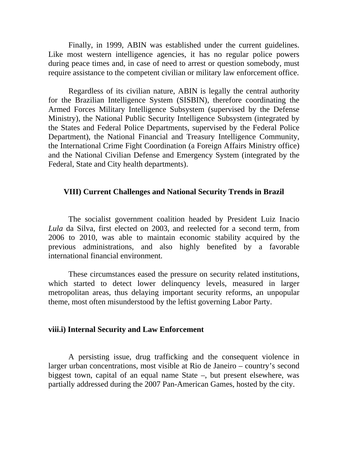Finally, in 1999, ABIN was established under the current guidelines. Like most western intelligence agencies, it has no regular police powers during peace times and, in case of need to arrest or question somebody, must require assistance to the competent civilian or military law enforcement office.

Regardless of its civilian nature, ABIN is legally the central authority for the Brazilian Intelligence System (SISBIN), therefore coordinating the Armed Forces Military Intelligence Subsystem (supervised by the Defense Ministry), the National Public Security Intelligence Subsystem (integrated by the States and Federal Police Departments, supervised by the Federal Police Department), the National Financial and Treasury Intelligence Community, the International Crime Fight Coordination (a Foreign Affairs Ministry office) and the National Civilian Defense and Emergency System (integrated by the Federal, State and City health departments).

#### **VIII) Current Challenges and National Security Trends in Brazil**

The socialist government coalition headed by President Luiz Inacio *Lula* da Silva, first elected on 2003, and reelected for a second term, from 2006 to 2010, was able to maintain economic stability acquired by the previous administrations, and also highly benefited by a favorable international financial environment.

These circumstances eased the pressure on security related institutions, which started to detect lower delinquency levels, measured in larger metropolitan areas, thus delaying important security reforms, an unpopular theme, most often misunderstood by the leftist governing Labor Party.

#### **viii.i) Internal Security and Law Enforcement**

A persisting issue, drug trafficking and the consequent violence in larger urban concentrations, most visible at Rio de Janeiro – country's second biggest town, capital of an equal name State –, but present elsewhere, was partially addressed during the 2007 Pan-American Games, hosted by the city.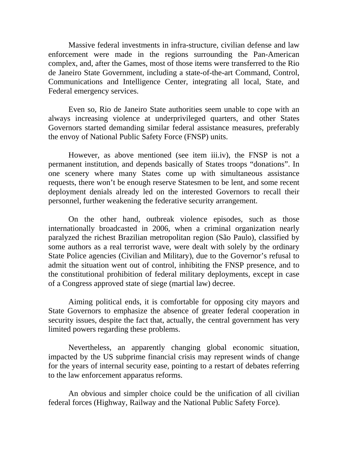Massive federal investments in infra-structure, civilian defense and law enforcement were made in the regions surrounding the Pan-American complex, and, after the Games, most of those items were transferred to the Rio de Janeiro State Government, including a state-of-the-art Command, Control, Communications and Intelligence Center, integrating all local, State, and Federal emergency services.

Even so, Rio de Janeiro State authorities seem unable to cope with an always increasing violence at underprivileged quarters, and other States Governors started demanding similar federal assistance measures, preferably the envoy of National Public Safety Force (FNSP) units.

However, as above mentioned (see item iii.iv), the FNSP is not a permanent institution, and depends basically of States troops "donations". In one scenery where many States come up with simultaneous assistance requests, there won't be enough reserve Statesmen to be lent, and some recent deployment denials already led on the interested Governors to recall their personnel, further weakening the federative security arrangement.

On the other hand, outbreak violence episodes, such as those internationally broadcasted in 2006, when a criminal organization nearly paralyzed the richest Brazilian metropolitan region (São Paulo), classified by some authors as a real terrorist wave, were dealt with solely by the ordinary State Police agencies (Civilian and Military), due to the Governor's refusal to admit the situation went out of control, inhibiting the FNSP presence, and to the constitutional prohibition of federal military deployments, except in case of a Congress approved state of siege (martial law) decree.

Aiming political ends, it is comfortable for opposing city mayors and State Governors to emphasize the absence of greater federal cooperation in security issues, despite the fact that, actually, the central government has very limited powers regarding these problems.

Nevertheless, an apparently changing global economic situation, impacted by the US subprime financial crisis may represent winds of change for the years of internal security ease, pointing to a restart of debates referring to the law enforcement apparatus reforms.

An obvious and simpler choice could be the unification of all civilian federal forces (Highway, Railway and the National Public Safety Force).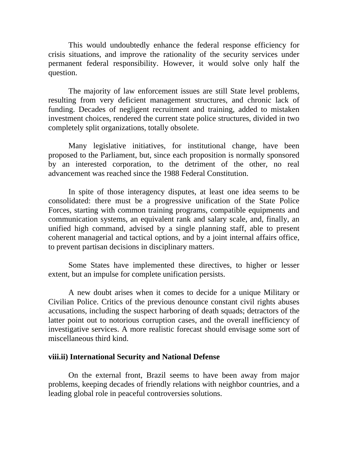This would undoubtedly enhance the federal response efficiency for crisis situations, and improve the rationality of the security services under permanent federal responsibility. However, it would solve only half the question.

The majority of law enforcement issues are still State level problems, resulting from very deficient management structures, and chronic lack of funding. Decades of negligent recruitment and training, added to mistaken investment choices, rendered the current state police structures, divided in two completely split organizations, totally obsolete.

Many legislative initiatives, for institutional change, have been proposed to the Parliament, but, since each proposition is normally sponsored by an interested corporation, to the detriment of the other, no real advancement was reached since the 1988 Federal Constitution.

In spite of those interagency disputes, at least one idea seems to be consolidated: there must be a progressive unification of the State Police Forces, starting with common training programs, compatible equipments and communication systems, an equivalent rank and salary scale, and, finally, an unified high command, advised by a single planning staff, able to present coherent managerial and tactical options, and by a joint internal affairs office, to prevent partisan decisions in disciplinary matters.

Some States have implemented these directives, to higher or lesser extent, but an impulse for complete unification persists.

A new doubt arises when it comes to decide for a unique Military or Civilian Police. Critics of the previous denounce constant civil rights abuses accusations, including the suspect harboring of death squads; detractors of the latter point out to notorious corruption cases, and the overall inefficiency of investigative services. A more realistic forecast should envisage some sort of miscellaneous third kind.

#### **viii.ii) International Security and National Defense**

On the external front, Brazil seems to have been away from major problems, keeping decades of friendly relations with neighbor countries, and a leading global role in peaceful controversies solutions.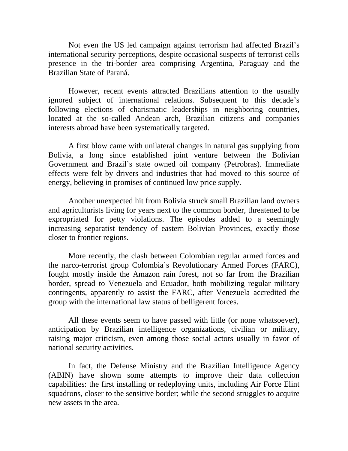Not even the US led campaign against terrorism had affected Brazil's international security perceptions, despite occasional suspects of terrorist cells presence in the tri-border area comprising Argentina, Paraguay and the Brazilian State of Paraná.

However, recent events attracted Brazilians attention to the usually ignored subject of international relations. Subsequent to this decade's following elections of charismatic leaderships in neighboring countries, located at the so-called Andean arch, Brazilian citizens and companies interests abroad have been systematically targeted.

A first blow came with unilateral changes in natural gas supplying from Bolivia, a long since established joint venture between the Bolivian Government and Brazil's state owned oil company (Petrobras). Immediate effects were felt by drivers and industries that had moved to this source of energy, believing in promises of continued low price supply.

Another unexpected hit from Bolivia struck small Brazilian land owners and agriculturists living for years next to the common border, threatened to be expropriated for petty violations. The episodes added to a seemingly increasing separatist tendency of eastern Bolivian Provinces, exactly those closer to frontier regions.

More recently, the clash between Colombian regular armed forces and the narco-terrorist group Colombia's Revolutionary Armed Forces (FARC), fought mostly inside the Amazon rain forest, not so far from the Brazilian border, spread to Venezuela and Ecuador, both mobilizing regular military contingents, apparently to assist the FARC, after Venezuela accredited the group with the international law status of belligerent forces.

All these events seem to have passed with little (or none whatsoever), anticipation by Brazilian intelligence organizations, civilian or military, raising major criticism, even among those social actors usually in favor of national security activities.

In fact, the Defense Ministry and the Brazilian Intelligence Agency (ABIN) have shown some attempts to improve their data collection capabilities: the first installing or redeploying units, including Air Force Elint squadrons, closer to the sensitive border; while the second struggles to acquire new assets in the area.